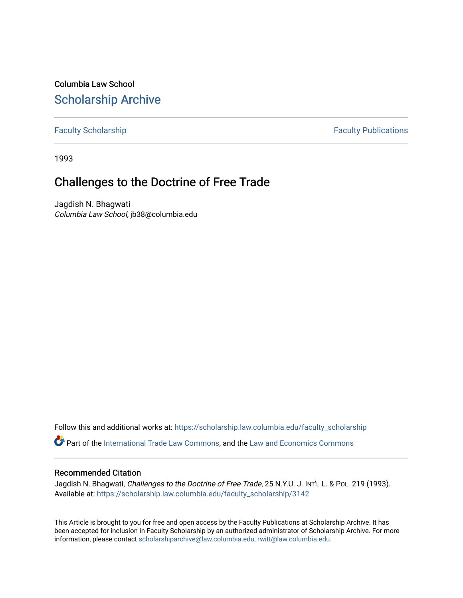Columbia Law School [Scholarship Archive](https://scholarship.law.columbia.edu/) 

[Faculty Scholarship](https://scholarship.law.columbia.edu/faculty_scholarship) **Faculty Scholarship Faculty Publications** 

1993

# Challenges to the Doctrine of Free Trade

Jagdish N. Bhagwati Columbia Law School, jb38@columbia.edu

Follow this and additional works at: [https://scholarship.law.columbia.edu/faculty\\_scholarship](https://scholarship.law.columbia.edu/faculty_scholarship?utm_source=scholarship.law.columbia.edu%2Ffaculty_scholarship%2F3142&utm_medium=PDF&utm_campaign=PDFCoverPages)

Part of the [International Trade Law Commons](http://network.bepress.com/hgg/discipline/848?utm_source=scholarship.law.columbia.edu%2Ffaculty_scholarship%2F3142&utm_medium=PDF&utm_campaign=PDFCoverPages), and the [Law and Economics Commons](http://network.bepress.com/hgg/discipline/612?utm_source=scholarship.law.columbia.edu%2Ffaculty_scholarship%2F3142&utm_medium=PDF&utm_campaign=PDFCoverPages) 

## Recommended Citation

Jagdish N. Bhagwati, Challenges to the Doctrine of Free Trade, 25 N.Y.U. J. INT'L L. & PoL. 219 (1993). Available at: [https://scholarship.law.columbia.edu/faculty\\_scholarship/3142](https://scholarship.law.columbia.edu/faculty_scholarship/3142?utm_source=scholarship.law.columbia.edu%2Ffaculty_scholarship%2F3142&utm_medium=PDF&utm_campaign=PDFCoverPages)

This Article is brought to you for free and open access by the Faculty Publications at Scholarship Archive. It has been accepted for inclusion in Faculty Scholarship by an authorized administrator of Scholarship Archive. For more information, please contact [scholarshiparchive@law.columbia.edu, rwitt@law.columbia.edu](mailto:scholarshiparchive@law.columbia.edu,%20rwitt@law.columbia.edu).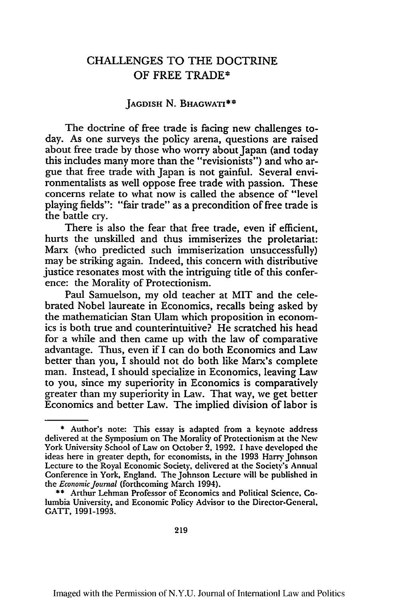# **CHALLENGES** TO THE DOCTRINE OF FREE TRADE\*

#### **JAGDISH N. BHAGWATI\*\***

The doctrine of free trade is facing new challenges today. As one surveys the policy arena, questions are raised about free trade by those who worry about Japan (and today this includes many more than the "revisionists") and who argue that free trade with Japan is not gainful. Several environmentalists as well oppose free trade with passion. These concerns relate to what now is called the absence of "level playing fields": "fair trade" as a precondition of free trade is the battle cry.

There is also the fear that free trade, even if efficient, hurts the unskilled and thus immiserizes the proletariat: Marx (who predicted such immiserization unsuccessfully) may be striking again. Indeed, this concern with distributive justice resonates most with the intriguing title of this conference: the Morality of Protectionism.

Paul Samuelson, my old teacher at MIT and the celebrated Nobel laureate in Economics, recalls being asked by the mathematician Stan Ulam which proposition in economics is both true and counterintuitive? He scratched his head for a while and then came up with the law of comparative advantage. Thus, even if I can do both Economics and Law better than you, I should not do both like Marx's complete man. Instead, I should specialize in Economics, leaving Law to you, since my superiority in Economics is comparatively greater than my superiority in Law. That way, we get better Economics and better Law. The implied division of labor is

<sup>\*</sup> Author's note: This essay is adapted from a keynote address delivered at the Symposium on The Morality of Protectionism at the **Ncw** York University School of Law on October 2, 1992. 1 have developed the ideas here in greater depth, for economists, in the 1993 Harry Johnson Lecture to the Royal Economic Society, delivered at the Society's Annual Conference in York, England. The Johnson Lecture will be published in the *Economic Journal* (forthcoming March 1994).

<sup>\*\*</sup> Arthur Lehman Professor of Economics and Political Science, Columbia University, and Economic Policy Advisor to the Director-Gencral. **GATT, 1991-1993.**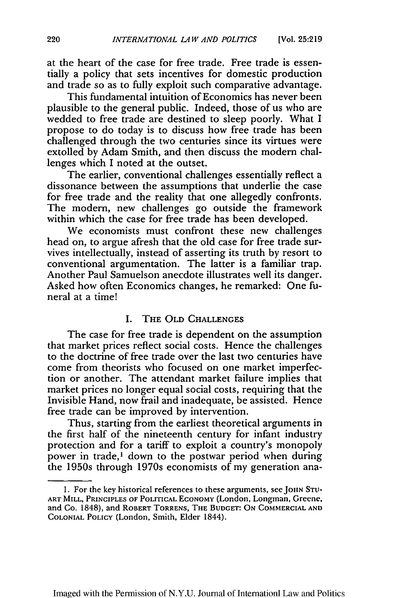at the heart of the case for free trade. Free trade is essentially a policy that sets incentives for domestic production and trade so as to fully exploit such comparative advantage.

This fundamental intuition of Economics has never been plausible to the general public. Indeed, those of us who are wedded to free trade are destined to sleep poorly. What I propose to do today is to discuss how free trade has been challenged through the two centuries since its virtues were extolled by Adam Smith, and then discuss the modem challenges which I noted at the outset.

The earlier, conventional challenges essentially reflect a dissonance between the assumptions that underlie the case for free trade and the reality that one allegedly confronts. The modem, new challenges go outside the framework within which the case for free trade has been developed.

We economists must confront these new challenges head on, to argue afresh that the old case for free trade survives intellectually, instead of asserting its truth by resort to conventional argumentation. The latter is a familiar trap. Another Paul Samuelson anecdote illustrates well its danger. Asked how often Economics changes, he remarked: One funeral at a time!

### I. THE OLD CHALLENGES

The case for free trade is dependent on the assumption that market prices reflect social costs. Hence the challenges to the doctrine of free trade over the last two centuries have come from theorists who focused on one market imperfection or another. The attendant market failure implies that market prices no longer equal social costs, requiring that the Invisible Hand, now frail and inadequate, be assisted. Hence free trade can be improved by intervention.

Thus, starting from the earliest theoretical arguments in the first half of the nineteenth century for infant industry protection and for a tariff to exploit a country's monopoly power in trade,' down to the postwar period when during the 1950s through 1970s economists of my generation ana-

**l.** For the key historical references to these arguments, seeJouN **STU-ART MILL, PRINCIPLES OF POLITICAL ECONOMY (London,** Longman, **Greene,** and Co. 1848), and ROBERT TORRENS, **THE BUDGET: ON** COMMERCIAL **AND COLONIAL POLICY** (London, Smith, Elder 1844).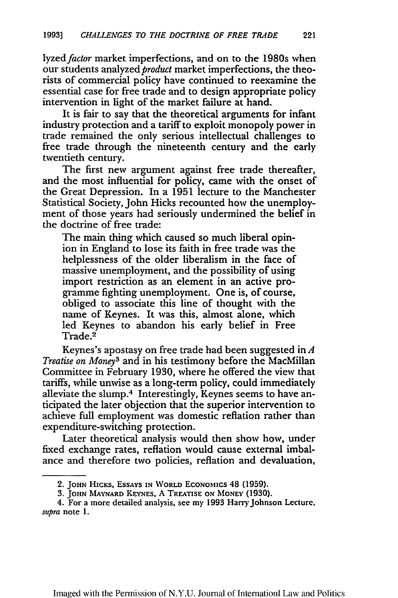lyzed *factor* market imperfections, and on to the 1980s when our students analyzed *product* market imperfections, the theorists of commercial policy have continued to reexamine the essential case for free trade and to design appropriate policy intervention in light of the market failure at hand.

It is fair to say that the theoretical arguments for infant industry protection and a tariff to exploit monopoly power in trade remained the only serious intellectual challenges to free trade through the nineteenth century and the early twentieth century.

The first new argument against free trade thereafter, and the most influential for policy, came with the onset of the Great Depression. In a 1951 lecture to the Manchester Statistical Society, John Hicks recounted how the unemployment of those years had seriously undermined the belief in the doctrine of free trade:

The main thing which caused so much liberal opinion in England to lose its faith in free trade was the helplessness of the older liberalism in the face of massive unemployment, and the possibility of using import restriction as an element in an active programme fighting unemployment. One is, of course, obliged to associate this line of thought with the name of Keynes. It was this, almost alone, which led Keynes to abandon his early belief in Free Trade.2

Keynes's apostasy on free trade had been suggested in *A Treatise on Money3* and in his testimony before the MacMillan Committee in February 1930, where he offered the view that tariffs, while unwise as a long-term policy, could immediately alleviate the slump.4 Interestingly, Keynes seems to have anticipated the later objection that the superior intervention to achieve full employment was domestic reflation rather than expenditure-switching protection.

Later theoretical analysis would then show how, under fixed exchange rates, reflation would cause external imbalance and therefore two policies, reflation and devaluation,

<sup>2.</sup> **JOHN** HiCms, **ESSAYS IN WORLD ECONOMics** 48 **(1959).**

**<sup>3.</sup> JOHN MAYNARD KEYNES, A TREATISE ON MONEY (1930).**

<sup>4.</sup> For a more detailed analysis, see my **1993** Harry Johnson Lecture. *supra* note 1.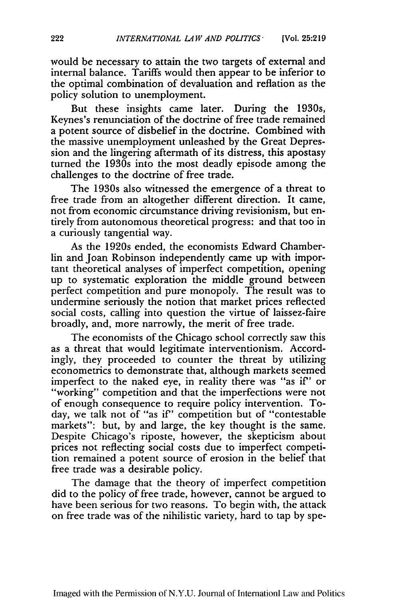would be necessary to attain the two targets of external and internal balance. Tariffs would then appear to be inferior to the optimal combination of devaluation and reflation as the policy solution to unemployment.

But these insights came later. During the 1930s, Keynes's renunciation of the doctrine of free trade remained a potent source of disbelief in the doctrine. Combined with the massive unemployment unleashed by the Great Depression and the lingering aftermath of its distress, this apostasy turned the 1930s into the most deadly episode among the challenges to the doctrine of free trade.

The 1930s also witnessed the emergence of a threat to free trade from an altogether different direction. It came, not from economic circumstance driving revisionism, but entirely from autonomous theoretical progress: and that too in a curiously tangential way.

As the 1920s ended, the economists Edward Chamberlin and Joan Robinson independently came up with important theoretical analyses of imperfect competition, opening up to systematic exploration the middle ground between perfect competition and pure monopoly. The result was to undermine seriously the notion that market prices reflected social costs, calling into question the virtue of laissez-faire broadly, and, more narrowly, the merit of free trade.

The economists of the Chicago school correctly saw this as a threat that would legitimate interventionism. Accordingly, they proceeded to counter the threat by utilizing econometrics to demonstrate that, although markets seemed imperfect to the naked eye, in reality there was "as if" or "working" competition and that the imperfections were not of enough consequence to require policy intervention. Today, we talk not of "as if" competition but of "contestable markets": but, by and large, the key thought is the same. Despite Chicago's riposte, however, the skepticism about prices not reflecting social costs due to imperfect competition remained a potent source of erosion in the belief that free trade was a desirable policy.

The damage that the theory of imperfect competition did to the policy of free trade, however, cannot be argued to have been serious for two reasons. To begin with, the attack on free trade was of the nihilistic variety, hard to tap by spe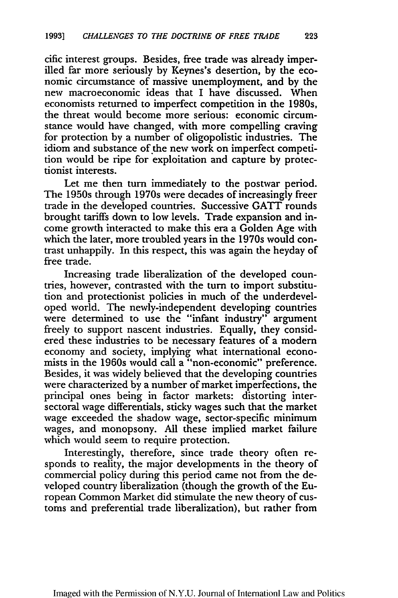cific interest groups. Besides, free trade was already imperilled far more seriously by Keynes's desertion, by the economic circumstance of massive unemployment, and by the new macroeconomic ideas that I have discussed. When economists returned to imperfect competition in the 1980s, the threat would become more serious: economic circumstance would have changed, with more compelling craving for protection by a number of oligopolistic industries. The idiom and substance of the new work on imperfect competition would be ripe for exploitation and capture by protectionist interests.

Let me then turn immediately to the postwar period. The 1950s through 1970s were decades of increasingly freer trade in the developed countries. Successive GATT rounds brought tariffs down to low levels. Trade expansion and income growth interacted to make this era a Golden Age with which the later, more troubled years in the 1970s would contrast unhappily. In this respect, this was again the heyday of free trade.

Increasing trade liberalization of the developed countries, however, contrasted with the turn to import substitution and protectionist policies in much of the underdeveloped world. The newly-independent developing countries were determined to use the "infant industry" argument freely to support nascent industries. Equally, they considered these industries to be necessary features of a modern economy and society, implying what international economists in the 1960s would call a "non-economic" preference. Besides, it was widely believed that the developing countries were characterized by a number of market imperfections, the principal ones being in factor markets: distorting intersectoral wage differentials, sticky wages such that the market wage exceeded the shadow wage, sector-specific minimum wages, and monopsony. All these implied market failure which would seem to require protection.

Interestingly, therefore, since trade theory often responds to reality, the major developments in the theory of commercial policy during this period came not from the developed country liberalization (though the growth of the European Common Market did stimulate the new theory of customs and preferential trade liberalization), but rather from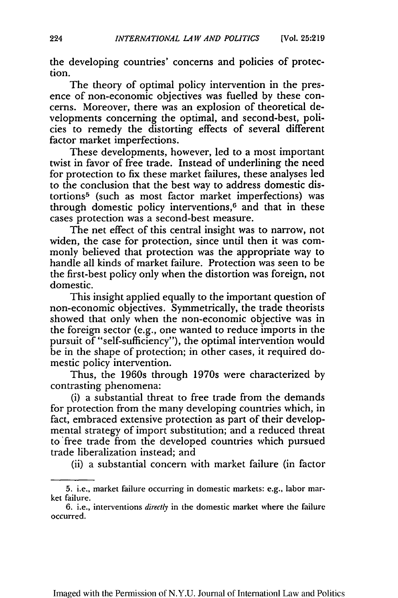the developing countries' concerns and policies of protection.

The theory of optimal policy intervention in the presence of non-economic objectives was fuelled by these concerns. Moreover, there was an explosion of theoretical developments concerning the optimal, and second-best, policies to remedy the distorting effects of several different factor market imperfections.

These developments, however, led to a most important twist in favor of free trade. Instead of underlining the need for protection to fix these market failures, these analyses led to the conclusion that the best way to address domestic distortions5 (such as most factor market imperfections) was through domestic policy interventions, $6$  and that in these cases protection was a second-best measure.

The net effect of this central insight was to narrow, not widen, the case for protection, since until then it was commonly believed that protection was the appropriate way to handle all kinds of market failure. Protection was seen to be the first-best policy only when the distortion was foreign, not domestic.

This insight applied equally to the important question of non-economic objectives. Symmetrically, the trade theorists showed that only when the non-economic objective was in the foreign sector (e.g., one wanted to reduce imports in the pursuit of "self-sufficiency"), the optimal intervention would be in the shape of protection; in other cases, it required domestic policy intervention.

Thus, the 1960s through 1970s were characterized by contrasting phenomena:

(i) a substantial threat to free trade from the demands for protection from the many developing countries which, in fact, embraced extensive protection as part of their developmental strategy of import substitution; and a reduced threat to 'free trade from the developed countries which pursued trade liberalization instead; and

(ii) a substantial concern with market failure (in factor

<sup>5.</sup> i.e., market failure occurring in domestic markets: e.g., labor market failure.

<sup>6.</sup> i.e., interventions *directly* in the domestic market where the failure occurred.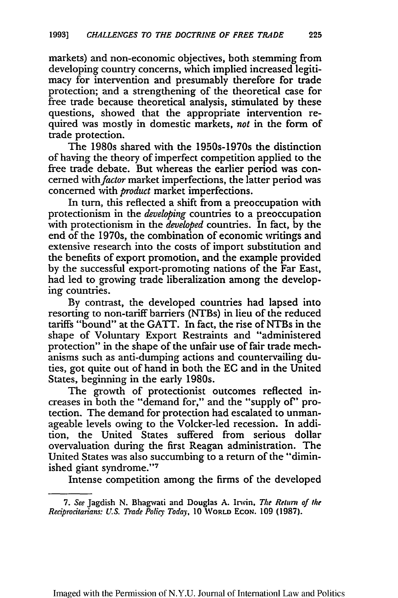markets) and non-economic objectives, both stemming from developing country concerns, which implied increased legitimacy for intervention and presumably therefore for trade protection; and a strengthening of the theoretical case for free trade because theoretical analysis, stimulated by these questions, showed that the appropriate intervention required was mostly in domestic markets, *not* in the form of trade protection.

The 1980s shared with the 1950s-1970s the distinction of having the theory of imperfect competition applied to the free trade debate. But whereas the earlier period was concerned with *factor* market imperfections, the latter period was concerned with *product* market imperfections.

In turn, this reflected a shift from a preoccupation with protectionism in the *developing* countries to a preoccupation with protectionism in the *developed* countries. In fact, by the end of the 1970s, the combination of economic writings and extensive research into the costs of import substitution and the benefits of export promotion, and the example provided by the successful export-promoting nations of the Far East, had led to growing trade liberalization among the developing countries.

By contrast, the developed countries had lapsed into resorting to non-tariff barriers (NTBs) in lieu of the reduced tariffs "bound" at the GATT. In fact, the rise of NTBs in the shape of Voluntary Export Restraints and "administered protection" in the shape of the unfair use of fair trade mechanisms such as anti-dumping actions and countervailing duties, got quite out of hand in both the EC and in the United States, beginning in the early 1980s.

The growth of protectionist outcomes reflected increases in both the "demand for," and the "supply of" protection. The demand for protection had escalated to unmanageable levels owing to the Volcker-led recession. In addition, the United States suffered from serious dollar overvaluation during the first Reagan administration. The United States was also succumbing to a return of the "diminished giant syndrome."<sup>7</sup>

Intense competition among the firms of the developed

Imaged with the Permission of N.Y.U. Journal of InternationI Law and Politics

*<sup>7.</sup> See* Jagdish **N.** Bhagwvati and Douglas **A.** Irwin, The *Relurn of* the *Reciprocitarians: U.S. Trade Policy Today,* **10** WORLD **ECON. 109 (1987).**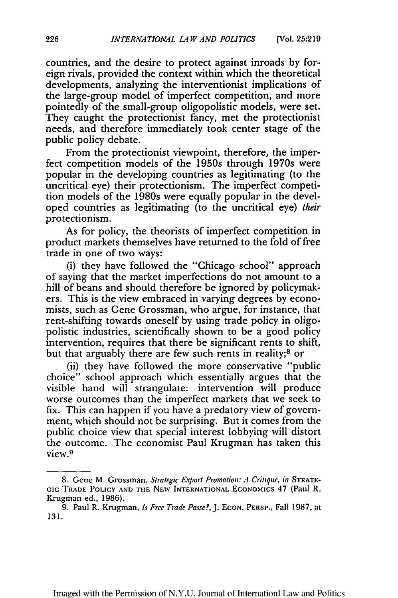countries, and the desire to protect against inroads by foreign rivals, provided the context within which the theoretical developments, analyzing the interventionist implications of the large-group model of imperfect competition, and more pointedly of the small-group oligopolistic models, were set. They caught the protectionist fancy, met the protectionist needs, and therefore immediately took center stage of the public policy debate.

From the protectionist viewpoint, therefore, the imperfect competition models of the 1950s through 1970s were popular in the developing countries as legitimating (to the uncritical eye) their protectionism. The imperfect competition models of the 1980s were equally popular in the developed countries as legitimating (to the uncritical eye) *their* protectionism.

As for policy, the theorists of imperfect competition in product markets themselves have returned to the fold of free trade in one of two ways:

(i) they have followed the "Chicago school" approach of saying that the market imperfections do not amount to a hill of beans and should therefore be ignored by policymakers. This is the view embraced in varying degrees by economists, such as Gene Grossman, who argue, for instance, that rent-shifting towards oneself by using trade policy in oligopolistic industries, scientifically shown to be a good policy intervention, requires that there be significant rents to shift, but that arguably there are few such rents in reality;<sup>8</sup> or

(ii) they have followed the more conservative "public choice" school approach which essentially argues that the visible hand will strangulate: intervention will produce worse outcomes than the imperfect markets that we seek to fix. This can happen if you have a predatory view of government, which should not be surprising. But it comes from the public choice view that special interest lobbying will distort the outcome. The economist Paul Krugman has taken this view. <sup>9</sup>

<sup>8.</sup> Gene M. Grossman, *Strategic Export Promotion: A Critique, in* STRATE-Gic TRADE POLICY **AND THE NEW** INTERNATIONAL ECONOMIcs 47 (Paul R. Krugman ed., 1986).

<sup>9.</sup> Paul R. Krugman, *Is Free Trade Passe?,J.* **ECON.** PERSP., Fall 1987, at 131.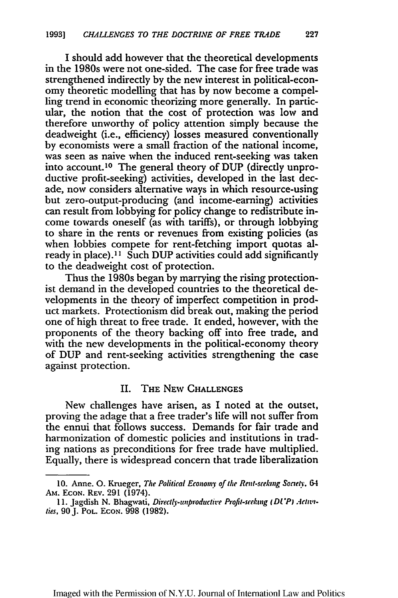I should add however that the theoretical developments in the 1980s were not one-sided. The case for free trade was strengthened indirectly by the new interest in political-economy theoretic modelling that has by now become a compelling trend in economic theorizing more generally. In particular, the notion that the cost of protection was low and therefore unworthy of policy attention simply because the deadweight (i.e., efficiency) losses measured conventionally by economists were a small fraction of the national income, was seen as naive when the induced rent-seeking was taken into account.<sup>10</sup> The general theory of DUP (directly unproductive profit-seeking) activities, developed in the last decade, now considers alternative ways in which resource-using but zero-output-producing (and income-earning) activities can result from lobbying for policy change to redistribute income towards oneself (as with tariffs), or through lobbying to share in the rents or revenues from existing policies (as when lobbies compete for rent-fetching import quotas already in place).<sup>11</sup> Such DUP activities could add significantly to the deadweight cost of protection.

Thus the 1980s began by marrying the rising protectionist demand in the developed countries to the theoretical developments in the theory of imperfect competition in product markets. Protectionism did break out, making the period one of high threat to free trade. It ended, however, with the proponents of the theory backing off into free trade, and with the new developments in the political-economy theory of DUP and rent-seeking activities strengthening the case against protection.

## II. THE NEW CHALLENGES

New challenges have arisen, as I noted at the outset, proving the adage that a free trader's life will not suffer from the ennui that follows success. Demands for fair trade and harmonization of domestic policies and institutions in trading nations as preconditions for free trade have multiplied. Equally, there is widespread concern that trade liberalization

Imaged with the Permission of N.Y.U. Journal of Internationl Law and Politics

**<sup>10.</sup>** Anne. **0.** Krueger, *The Political Economy of the Reni-seeking Society. 64* **Am. ECON. REV. 291** (1974).

<sup>11.</sup> Jagdish N. Bhagwati, Directly-unproductive Profit-seeking (DUP) Activities, 90 J. Pot. ECON. 998 (1982).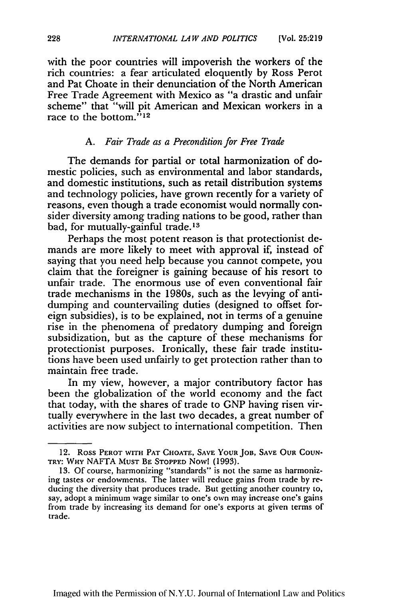with the poor countries will impoverish the workers of the rich countries: a fear articulated eloquently by Ross Perot and Pat Choate in their denunciation of the North American Free Trade Agreement with Mexico as "a drastic and unfair scheme" that "will pit American and Mexican workers in a race to the bottom. $^{712}$ 

### A. *Fair Trade as a Precondition for Free Trade*

The demands for partial or total harmonization of domestic policies, such as environmental and labor standards, and domestic institutions, such as retail distribution systems and technology policies, have grown recently for a variety of reasons, even though a trade economist would normally consider diversity among trading nations to be good, rather than bad, for mutually-gainful trade.<sup>13</sup>

Perhaps the most potent reason is that protectionist demands are more likely to meet with approval *if,* instead of saying that you need help because you cannot compete, you claim that the foreigner is gaining because of his resort to unfair trade. The enormous use of even conventional fair trade mechanisms in the 1980s, such as the levying of antidumping and countervailing duties (designed to offset foreign subsidies), is to be explained, not in terms of a genuine rise in the phenomena of predatory dumping and foreign subsidization, but as the capture of these mechanisms for protectionist purposes. Ironically, these fair trade institutions have been used unfairly to get protection rather than to maintain free trade.

In my view, however, a major contributory factor has been the globalization of the world economy and the fact that today, with the shares of trade to GNP having risen virtually everywhere in the last two decades, a great number of activities are now subject to international competition. Then

<sup>12.</sup> **Ross PEROT WITH PAT CHOATE, SAVE YOUR JOB, SAVE OUR COUN-TRY: WHY** NAFTA **MUST** BE **STOPPED Now! (1993).**

<sup>13.</sup> Of course, harmonizing "standards" is not the same as harmonizing tastes or endowments. The latter will reduce gains from trade by reducing the diversity that produces trade. But getting another country to, say, adopt a minimum wage similar to one's own may increase one's gains from trade by increasing its demand for one's exports at given terms of trade.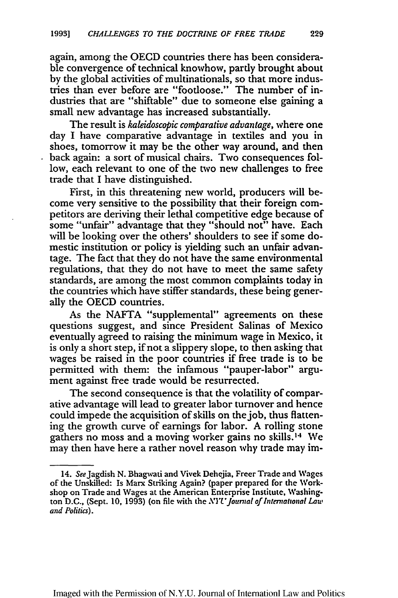again, among the OECD countries there has been considerable convergence of technical knowhow, partly brought about by the global activities of multinationals, so that more industries than ever before are "footloose." The number of industries that are "shiftable" due to someone else gaining a small new advantage has increased substantially.

The result is *kaleidoscopic comparative advantage,* where one day I have comparative advantage in textiles and you in shoes, tomorrow it may be the other way around, and then back again: a sort of musical chairs. Two consequences follow, each relevant to one of the two new challenges to free trade that I have distinguished.

First, in this threatening new world, producers will become very sensitive to the possibility that their foreign competitors are deriving their lethal competitive edge because of some "unfair" advantage that they "should not" have. Each will be looking over the others' shoulders to see if some domestic institution or policy is yielding such an unfair advantage. The fact that they do not have the same environmental regulations, that they do not have to meet the same safety standards, are among the most common complaints today in the countries which have stiffer standards, these being generally the OECD countries.

As the NAFTA "supplemental" agreements on these questions suggest, and since President Salinas of Mexico eventually agreed to raising the minimum wage in Mexico, it is only a short step, if not a slippery slope, to then asking that wages be raised in the poor countries if free trade is to be permitted with them: the infamous "pauper-labor" argument against free trade would be resurrected.

The second consequence is that the volatility of comparative advantage will lead to greater labor turnover and hence could impede the acquisition of skills on thejob, thus flattening the growth curve of earnings for labor. **A** rolling stone gathers no moss and a moving worker gains no skills.<sup>14</sup> We may then have here a rather novel reason why trade may im-

Imaged with the Permission of N.Y.U. Journal of Internationl Law and Politics

<sup>14.</sup> See Jagdish N. Bhagwati and Vivek Dehejia, Freer Trade and Wages of the Unskilled: Is Marx Striking Again? (paper prepared for the Workshop on Trade and Wages at the American Enterprise Institute, Washington D.C., (Sept. 10, 1993) (on file with the *NYU' Journal of International Law and Politics).*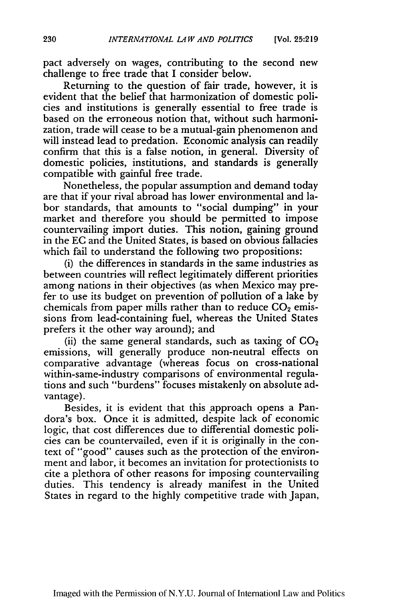pact adversely on wages, contributing to the second new challenge to free trade that I consider below.

Returning to the question of fair trade, however, it is evident that the belief that harmonization of domestic policies and institutions is generally essential to free trade is based on the erroneous notion that, without such harmonization, trade will cease to be a mutual-gain phenomenon and will instead lead to predation. Economic analysis can readily confirm that this is a false notion, in general. Diversity of domestic policies, institutions, and standards is generally compatible with gainful free trade.

Nonetheless, the popular assumption and demand today are that if your rival abroad has lower environmental and labor standards, that amounts to "social dumping" in your market and therefore you should be permitted to impose countervailing import duties. This notion, gaining ground in the **EC** and the United States, is based on obvious fallacies which fail to understand the following two propositions:

(i) the differences in standards in the same industries as between countries will reflect legitimately different priorities among nations in their objectives (as when Mexico may prefer to use its budget on prevention of pollution of a lake by chemicals from paper mills rather than to reduce  $CO<sub>2</sub>$  emissions from lead-containing fuel, whereas the United States prefers it the other way around); and

(ii) the same general standards, such as taxing of  $CO<sub>2</sub>$ emissions, will generally produce non-neutral effects on comparative advantage (whereas focus on cross-national within-same-industry comparisons of environmental regulations and such "burdens" focuses mistakenly on absolute advantage).

Besides, it is evident that this approach opens a Pandora's box. Once it is admitted, despite lack of economic logic, that cost differences due to differential domestic policies can be countervailed, even if it is originally in the context of "good" causes such as the protection of the environment and labor, it becomes an invitation for protectionists to cite a plethora of other reasons for imposing countervailing duties. This tendency is already manifest in the United States in regard to the highly competitive trade with Japan,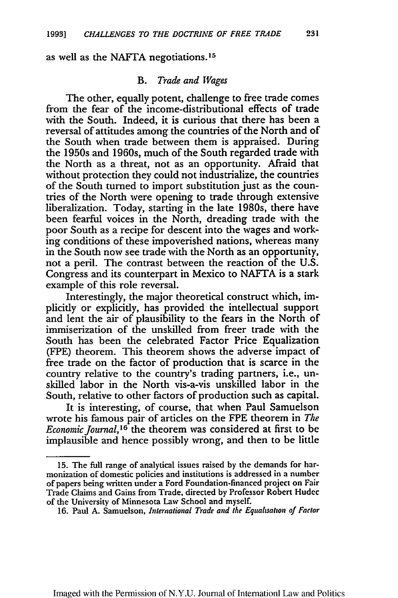as well as the NAFTA negotiations. 15

#### *B. Trade and Wages*

The other, equally potent, challenge to free trade comes from the fear of the income-distributional effects of trade with the South. Indeed, it is curious that there has been a reversal of attitudes among the countries of the North and of the South when trade between them is appraised. During the 1950s and 1960s, much of the South regarded trade with the North as a threat, not as an opportunity. Afraid that without protection they could not industrialize, the countries of the South turned to import substitution just as the countries of the North were opening to trade through extensive liberalization. Today, starting in the late 1980s, there have been fearful voices in the North, dreading trade with the poor South as a recipe for descent into the wages and working conditions of these impoverished nations, whereas many in the South now see trade with the North as an opportunity, not a peril. The contrast between the reaction of the U.S. Congress and its counterpart in Mexico to NAFTA is a stark example of this role reversal.

Interestingly, the major theoretical construct which, implicitly or explicitly, has provided the intellectual support and lent the air of plausibility to the fears in the North of immiserization of the unskilled from freer trade with the South has been the celebrated Factor Price Equalization (FPE) theorem. This theorem shows the adverse impact of free trade on the factor of production that is scarce in the country relative to the country's trading partners, i.e., unskilled labor in the North vis-a-vis unskilled labor in the South, relative to other factors of production such as capital.

It is interesting, of course, that when Paul Samuelson wrote his famous pair of articles on the FPE theorem in *The Economic Journal*,<sup>16</sup> the theorem was considered at first to be implausible and hence possibly wrong, and then to be little

Imaged with the Permission of N.Y.U. Journal of Internationl Law and Politics

<sup>15.</sup> The full range of analytical issues raised by the demands for harmonization of domestic policies and institutions is addressed in a number of papers being written under a Ford Foundation-financed project on Fair Trade Claims and Gains from Trade, directed by Professor Robert Hudec of the University of Minnesota Law School and myself.

**<sup>16.</sup>** Paul A. Samuelson, *International Trade and the Equaluation of Factor*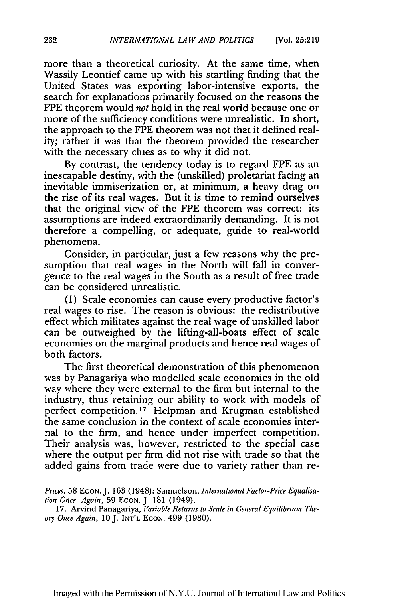more than a theoretical curiosity. At the same time, when Wassily Leontief came up with his startling finding that the United States was exporting labor-intensive exports, the search for explanations primarily focused on the reasons the FPE theorem would *not* hold in the real world because one or more of the sufficiency conditions were unrealistic. In short, the approach to the FPE theorem was not that it defined reality; rather it was that the theorem provided the researcher with the necessary clues as to why it did not.

By contrast, the tendency today is to regard FPE as an inescapable destiny, with the (unskilled) proletariat facing an inevitable immiserization or, at minimum, a heavy drag on the rise of its real wages. But it is time to remind ourselves that the original view of the FPE theorem was correct: its assumptions are indeed extraordinarily demanding. It is not therefore a compelling, or adequate, guide to real-world phenomena.

Consider, in particular, just a few reasons why the presumption that real wages in the North will fall in convergence to the real wages in the South as a result of free trade can be considered unrealistic.

(1) Scale economies can cause every productive factor's real wages to rise. The reason is obvious: the redistributive effect which militates against the real wage of unskilled labor can be outweighed by the lifting-all-boats effect of scale economies on the marginal products and hence real wages of both factors.

The first theoretical demonstration of this phenomenon was by Panagariya who modelled scale economies in the old way where they were external to the firm but internal to the industry, thus retaining our ability to work with models of perfect competition.<sup>17</sup> Helpman and Krugman established the same conclusion in the context of scale economies internal to the firm, and hence under imperfect competition. Their analysis was, however, restricted to the special case where the output per firm did not rise with trade so that the added gains from trade were due to variety rather than re-

*Prices,* 58 **ECON.** J. **163** (1948); Samuelson, *International Factor-Price Equalisation Once Again,* 59 ECON. J. 181 (1949).

<sup>17.</sup> Arvind Panagariya, *Variable Returns to Scale in General Equilibrium Theory OnceAgain, 10J.* INT'L ECON. 499 (1980).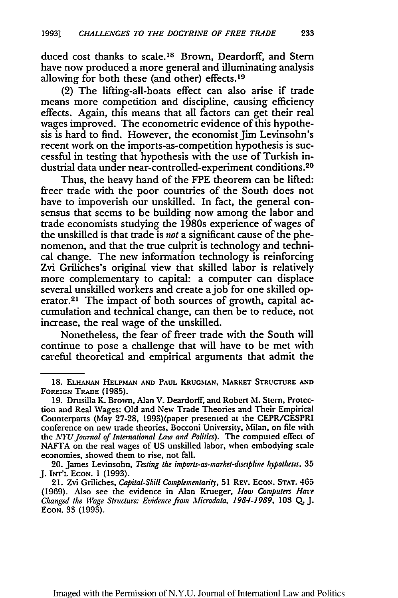duced cost thanks to scale.<sup>18</sup> Brown, Deardorff, and Stern have now produced a more general and illuminating analysis allowing for both these (and other) effects. <sup>19</sup>

(2) The lifting-all-boats effect can also arise if trade means more competition and discipline, causing efficiency effects. Again, this means that all factors can get their real wages improved. The econometric evidence of this hypothesis is hard to find. However, the economist Jim Levinsohn's recent work on the imports-as-competition hypothesis is successful in testing that hypothesis with the use of Turkish industrial data under near-controlled-experiment conditions.20

Thus, the heavy hand of the **FPE** theorem can be lifted: freer trade with the poor countries of the South does not have to impoverish our unskilled. In fact, the general consensus that seems to be building now among the labor and trade economists studying the 1980s experience of wages of the unskilled is that trade is *not* a significant cause of the phenomenon, and that the true culprit is technology and technical change. The new information technology is reinforcing Zvi Griliches's original view that skilled labor is relatively more complementary to capital: a computer can displace several unskilled workers and create ajob for one skilled operator.<sup>21</sup> The impact of both sources of growth, capital accumulation and technical change, can then be to reduce, not increase, the real wage of the unskilled.

Nonetheless, the fear of freer trade with the South will continue to pose a challenge that will have to be met with careful theoretical and empirical arguments that admit the

**<sup>18.</sup> ELuHAN HELPMAN AND** PAUL KRUGMAN, MARKET STRUCTURE **AND** FOREIGN TRADE **(1985).**

**<sup>19.</sup>** Drusilla K. Brown, Alan V. Deardorff, and Robert **M. Stern,** Protection and Real Wages: **Old** and New Trade Theories and Their Empirical Counterparts (May 27-28, 1993)(paper presented at the CEPR/CESPRI conference on new trade theories, Bocconi University, Milan. on file with *the NYU Journal of International Law and Politics).* The computed **effect** of **NAFTA** on the real wages of **US** unskilled labor, when embodying scale economies, showed them to rise, not fall.

<sup>20.</sup> James Levinsohn, *Testing the imports-as-market-disapline hypothests.* **35 J. INT'L ECON. 1 (1993).**

**<sup>21.</sup>** Zvi Griliches, *Capital-Skill Complemrenarity,* **51** REv. EcoN. **STAT. 465 (1969).** Also see the evidence in Alan Krueger, *How Computers Hare* Changed the *Wage* Structure: Evidence from *Microdata.* **1984-1989, 108 Q. J. ECON.** 33 **(1993).**